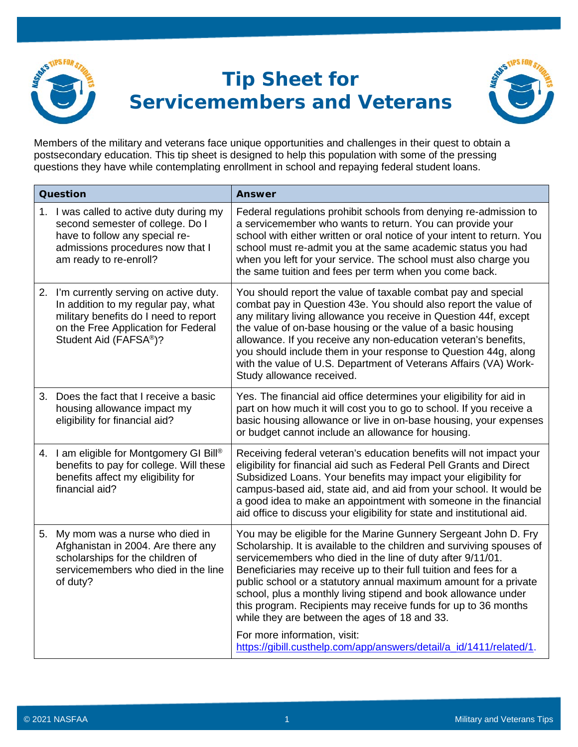

## **Tip Sheet for Servicemembers and Veterans**



Members of the military and veterans face unique opportunities and challenges in their quest to obtain a postsecondary education. This tip sheet is designed to help this population with some of the pressing questions they have while contemplating enrollment in school and repaying federal student loans.

| Question |                                                                                                                                                                                          | <b>Answer</b>                                                                                                                                                                                                                                                                                                                                                                                                                                                                                                                                                        |
|----------|------------------------------------------------------------------------------------------------------------------------------------------------------------------------------------------|----------------------------------------------------------------------------------------------------------------------------------------------------------------------------------------------------------------------------------------------------------------------------------------------------------------------------------------------------------------------------------------------------------------------------------------------------------------------------------------------------------------------------------------------------------------------|
|          | 1. I was called to active duty during my<br>second semester of college. Do I<br>have to follow any special re-<br>admissions procedures now that I<br>am ready to re-enroll?             | Federal regulations prohibit schools from denying re-admission to<br>a servicemember who wants to return. You can provide your<br>school with either written or oral notice of your intent to return. You<br>school must re-admit you at the same academic status you had<br>when you left for your service. The school must also charge you<br>the same tuition and fees per term when you come back.                                                                                                                                                               |
|          | 2. I'm currently serving on active duty.<br>In addition to my regular pay, what<br>military benefits do I need to report<br>on the Free Application for Federal<br>Student Aid (FAFSA®)? | You should report the value of taxable combat pay and special<br>combat pay in Question 43e. You should also report the value of<br>any military living allowance you receive in Question 44f, except<br>the value of on-base housing or the value of a basic housing<br>allowance. If you receive any non-education veteran's benefits,<br>you should include them in your response to Question 44g, along<br>with the value of U.S. Department of Veterans Affairs (VA) Work-<br>Study allowance received.                                                         |
|          | 3. Does the fact that I receive a basic<br>housing allowance impact my<br>eligibility for financial aid?                                                                                 | Yes. The financial aid office determines your eligibility for aid in<br>part on how much it will cost you to go to school. If you receive a<br>basic housing allowance or live in on-base housing, your expenses<br>or budget cannot include an allowance for housing.                                                                                                                                                                                                                                                                                               |
|          | 4. I am eligible for Montgomery GI Bill®<br>benefits to pay for college. Will these<br>benefits affect my eligibility for<br>financial aid?                                              | Receiving federal veteran's education benefits will not impact your<br>eligibility for financial aid such as Federal Pell Grants and Direct<br>Subsidized Loans. Your benefits may impact your eligibility for<br>campus-based aid, state aid, and aid from your school. It would be<br>a good idea to make an appointment with someone in the financial<br>aid office to discuss your eligibility for state and institutional aid.                                                                                                                                  |
|          | 5. My mom was a nurse who died in<br>Afghanistan in 2004. Are there any<br>scholarships for the children of<br>servicemembers who died in the line<br>of duty?                           | You may be eligible for the Marine Gunnery Sergeant John D. Fry<br>Scholarship. It is available to the children and surviving spouses of<br>servicemembers who died in the line of duty after 9/11/01.<br>Beneficiaries may receive up to their full tuition and fees for a<br>public school or a statutory annual maximum amount for a private<br>school, plus a monthly living stipend and book allowance under<br>this program. Recipients may receive funds for up to 36 months<br>while they are between the ages of 18 and 33.<br>For more information, visit: |
|          |                                                                                                                                                                                          | https://gibill.custhelp.com/app/answers/detail/a_id/1411/related/1.                                                                                                                                                                                                                                                                                                                                                                                                                                                                                                  |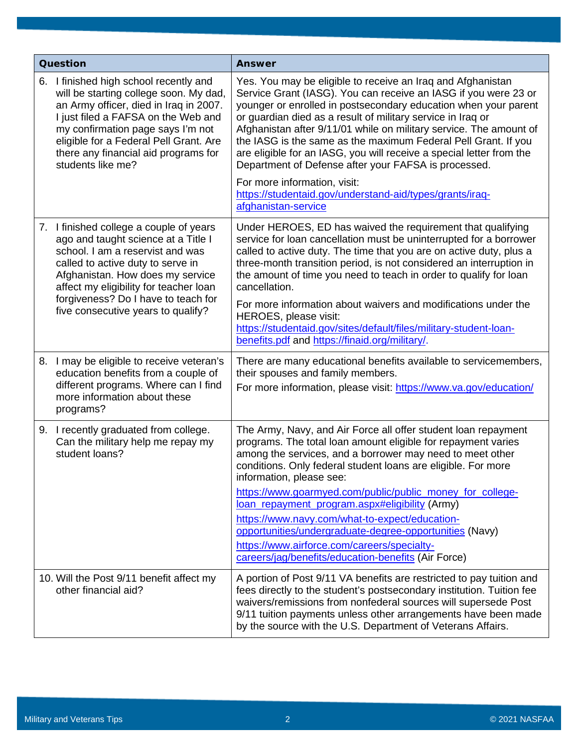| Question |                                                                                                                                                                                                                                                                                                                    | <b>Answer</b>                                                                                                                                                                                                                                                                                                                                                                                                                                                                                                                                                                                                               |
|----------|--------------------------------------------------------------------------------------------------------------------------------------------------------------------------------------------------------------------------------------------------------------------------------------------------------------------|-----------------------------------------------------------------------------------------------------------------------------------------------------------------------------------------------------------------------------------------------------------------------------------------------------------------------------------------------------------------------------------------------------------------------------------------------------------------------------------------------------------------------------------------------------------------------------------------------------------------------------|
|          | 6. I finished high school recently and<br>will be starting college soon. My dad,<br>an Army officer, died in Iraq in 2007.<br>I just filed a FAFSA on the Web and<br>my confirmation page says I'm not<br>eligible for a Federal Pell Grant. Are<br>there any financial aid programs for<br>students like me?      | Yes. You may be eligible to receive an Iraq and Afghanistan<br>Service Grant (IASG). You can receive an IASG if you were 23 or<br>younger or enrolled in postsecondary education when your parent<br>or guardian died as a result of military service in Iraq or<br>Afghanistan after 9/11/01 while on military service. The amount of<br>the IASG is the same as the maximum Federal Pell Grant. If you<br>are eligible for an IASG, you will receive a special letter from the<br>Department of Defense after your FAFSA is processed.<br>For more information, visit:                                                    |
|          |                                                                                                                                                                                                                                                                                                                    | https://studentaid.gov/understand-aid/types/grants/irag-<br>afghanistan-service                                                                                                                                                                                                                                                                                                                                                                                                                                                                                                                                             |
|          | 7. I finished college a couple of years<br>ago and taught science at a Title I<br>school. I am a reservist and was<br>called to active duty to serve in<br>Afghanistan. How does my service<br>affect my eligibility for teacher loan<br>forgiveness? Do I have to teach for<br>five consecutive years to qualify? | Under HEROES, ED has waived the requirement that qualifying<br>service for loan cancellation must be uninterrupted for a borrower<br>called to active duty. The time that you are on active duty, plus a<br>three-month transition period, is not considered an interruption in<br>the amount of time you need to teach in order to qualify for loan<br>cancellation.<br>For more information about waivers and modifications under the<br>HEROES, please visit:<br>https://studentaid.gov/sites/default/files/military-student-loan-<br>benefits.pdf and https://finaid.org/military/.                                     |
| 8.       | I may be eligible to receive veteran's<br>education benefits from a couple of<br>different programs. Where can I find<br>more information about these<br>programs?                                                                                                                                                 | There are many educational benefits available to servicemembers,<br>their spouses and family members.<br>For more information, please visit: https://www.va.gov/education/                                                                                                                                                                                                                                                                                                                                                                                                                                                  |
|          | 9. I recently graduated from college.<br>Can the military help me repay my<br>student loans?                                                                                                                                                                                                                       | The Army, Navy, and Air Force all offer student loan repayment<br>programs. The total loan amount eligible for repayment varies<br>among the services, and a borrower may need to meet other<br>conditions. Only federal student loans are eligible. For more<br>information, please see:<br>https://www.goarmyed.com/public/public_money_for_college-<br>loan repayment program.aspx#eligibility (Army)<br>https://www.navy.com/what-to-expect/education-<br>opportunities/undergraduate-degree-opportunities (Navy)<br>https://www.airforce.com/careers/specialty-<br>careers/jag/benefits/education-benefits (Air Force) |
|          | 10. Will the Post 9/11 benefit affect my<br>other financial aid?                                                                                                                                                                                                                                                   | A portion of Post 9/11 VA benefits are restricted to pay tuition and<br>fees directly to the student's postsecondary institution. Tuition fee<br>waivers/remissions from nonfederal sources will supersede Post<br>9/11 tuition payments unless other arrangements have been made<br>by the source with the U.S. Department of Veterans Affairs.                                                                                                                                                                                                                                                                            |